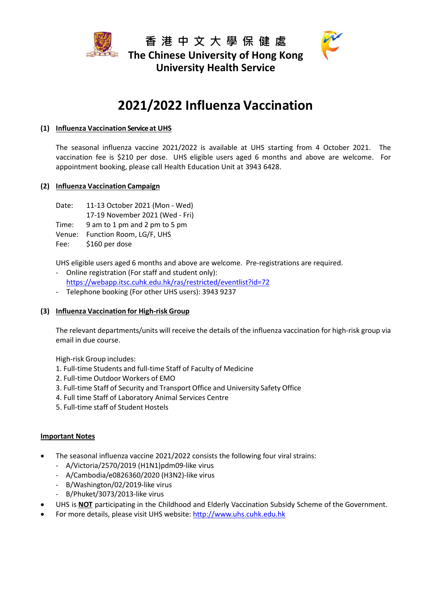





# **2021/2022 Influenza Vaccination**

# **(1) Influenza Vaccination Service at UHS**

The seasonal influenza vaccine 2021/2022 is available at UHS starting from 4 October 2021. The vaccination fee is \$210 per dose. UHS eligible users aged 6 months and above are welcome. For appointment booking, please call Health Education Unit at 3943 6428.

# **(2) Influenza Vaccination Campaign**

Date: 11-13 October 2021 (Mon - Wed)

17-19 November 2021 (Wed - Fri)

Time: 9 am to 1 pm and 2 pm to 5 pm

Venue: Function Room, LG/F, UHS

Fee: \$160 per dose

UHS eligible users aged 6 months and above are welcome. Pre-registrations are required.

- Online registration (For staff and student only): <https://webapp.itsc.cuhk.edu.hk/ras/restricted/eventlist?id=72>
- Telephone booking (For other UHS users): 3943 9237

# **(3) Influenza Vaccination for High‐risk Group**

The relevant departments/units will receive the details of the influenza vaccination for high-risk group via email in due course.

High-risk Group includes:

- 1. Full-time Students and full-time Staff of Faculty of Medicine
- 2. Full-time Outdoor Workers of EMO
- 3. Full-time Staff of Security and Transport Office and University Safety Office
- 4. Full time Staff of Laboratory Animal Services Centre
- 5. Full-time staff of Student Hostels

# **Important Notes**

- The seasonal influenza vaccine 2021/2022 consists the following four viral strains:
	- A/Victoria/2570/2019 (H1N1)pdm09-like virus
	- A/Cambodia/e0826360/2020 (H3N2)-like virus
	- B/Washington/02/2019-like virus
	- B/Phuket/3073/2013-like virus
- UHS is **NOT** participating in the Childhood and Elderly Vaccination Subsidy Scheme of the Government.
- For more details, please visit UHS website: [http://www.uhs.cuhk.edu.hk](http://www.uhs.cuhk.edu.hk/)